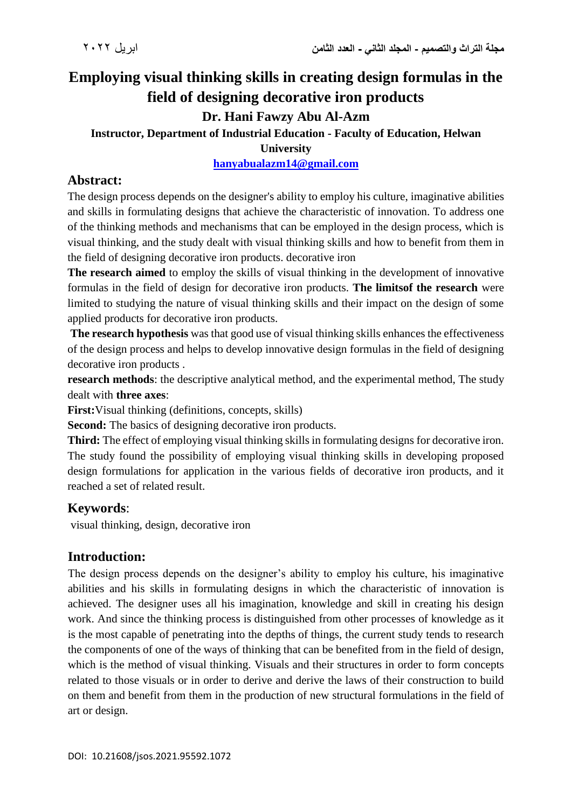# **Employing visual thinking skills in creating design formulas in the field of designing decorative iron products**

## **Dr. Hani Fawzy Abu Al-Azm**

# **Instructor, Department of Industrial Education - Faculty of Education, Helwan**

**University**

#### **[hanyabualazm14@gmail.com](mailto:hanyabualazm14@gmail.com)**

## **Abstract:**

The design process depends on the designer's ability to employ his culture, imaginative abilities and skills in formulating designs that achieve the characteristic of innovation. To address one of the thinking methods and mechanisms that can be employed in the design process, which is visual thinking, and the study dealt with visual thinking skills and how to benefit from them in the field of designing decorative iron products. decorative iron

**The research aimed** to employ the skills of visual thinking in the development of innovative formulas in the field of design for decorative iron products. **The limitsof the research** were limited to studying the nature of visual thinking skills and their impact on the design of some applied products for decorative iron products.

**The research hypothesis** was that good use of visual thinking skills enhances the effectiveness of the design process and helps to develop innovative design formulas in the field of designing decorative iron products .

**research methods**: the descriptive analytical method, and the experimental method, The study dealt with **three axes**:

**First:**Visual thinking (definitions, concepts, skills)

**Second:** The basics of designing decorative iron products.

**Third:** The effect of employing visual thinking skills in formulating designs for decorative iron. The study found the possibility of employing visual thinking skills in developing proposed design formulations for application in the various fields of decorative iron products, and it reached a set of related result.

## **Keywords**:

visual thinking, design, decorative iron

## **Introduction:**

The design process depends on the designer's ability to employ his culture, his imaginative abilities and his skills in formulating designs in which the characteristic of innovation is achieved. The designer uses all his imagination, knowledge and skill in creating his design work. And since the thinking process is distinguished from other processes of knowledge as it is the most capable of penetrating into the depths of things, the current study tends to research the components of one of the ways of thinking that can be benefited from in the field of design, which is the method of visual thinking. Visuals and their structures in order to form concepts related to those visuals or in order to derive and derive the laws of their construction to build on them and benefit from them in the production of new structural formulations in the field of art or design.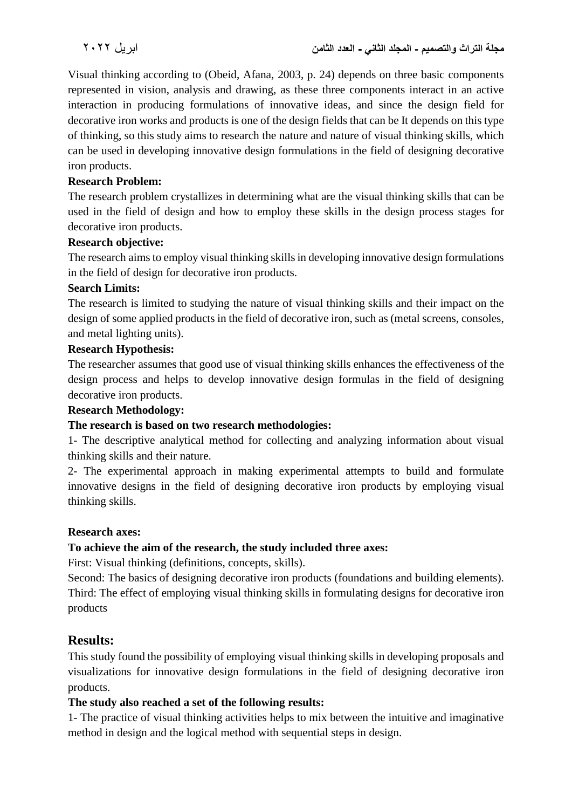Visual thinking according to (Obeid, Afana, 2003, p. 24) depends on three basic components represented in vision, analysis and drawing, as these three components interact in an active interaction in producing formulations of innovative ideas, and since the design field for decorative iron works and products is one of the design fields that can be It depends on this type of thinking, so this study aims to research the nature and nature of visual thinking skills, which can be used in developing innovative design formulations in the field of designing decorative iron products.

#### **Research Problem:**

The research problem crystallizes in determining what are the visual thinking skills that can be used in the field of design and how to employ these skills in the design process stages for decorative iron products.

#### **Research objective:**

The research aims to employ visual thinking skills in developing innovative design formulations in the field of design for decorative iron products.

#### **Search Limits:**

The research is limited to studying the nature of visual thinking skills and their impact on the design of some applied products in the field of decorative iron, such as (metal screens, consoles, and metal lighting units).

#### **Research Hypothesis:**

The researcher assumes that good use of visual thinking skills enhances the effectiveness of the design process and helps to develop innovative design formulas in the field of designing decorative iron products.

#### **Research Methodology:**

#### **The research is based on two research methodologies:**

1- The descriptive analytical method for collecting and analyzing information about visual thinking skills and their nature.

2- The experimental approach in making experimental attempts to build and formulate innovative designs in the field of designing decorative iron products by employing visual thinking skills.

#### **Research axes:**

#### **To achieve the aim of the research, the study included three axes:**

First: Visual thinking (definitions, concepts, skills).

Second: The basics of designing decorative iron products (foundations and building elements). Third: The effect of employing visual thinking skills in formulating designs for decorative iron products

## **Results:**

This study found the possibility of employing visual thinking skills in developing proposals and visualizations for innovative design formulations in the field of designing decorative iron products.

#### **The study also reached a set of the following results:**

1- The practice of visual thinking activities helps to mix between the intuitive and imaginative method in design and the logical method with sequential steps in design.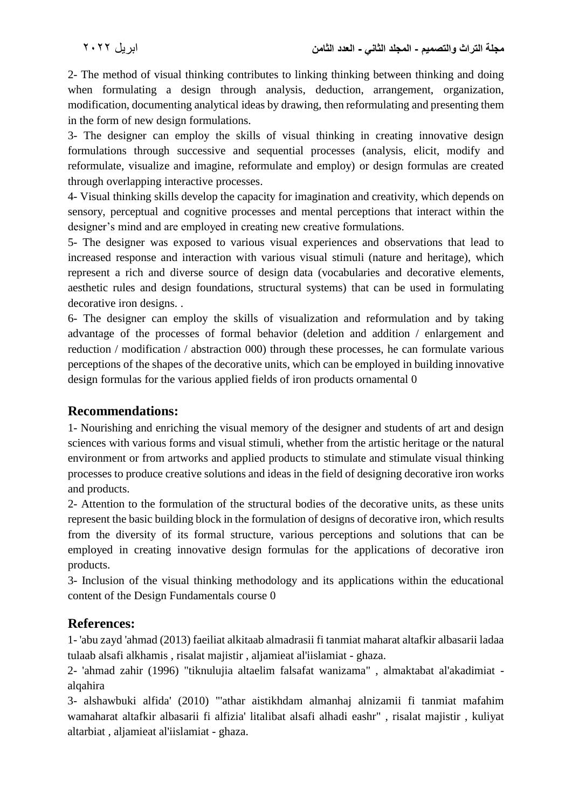2- The method of visual thinking contributes to linking thinking between thinking and doing when formulating a design through analysis, deduction, arrangement, organization, modification, documenting analytical ideas by drawing, then reformulating and presenting them in the form of new design formulations.

3- The designer can employ the skills of visual thinking in creating innovative design formulations through successive and sequential processes (analysis, elicit, modify and reformulate, visualize and imagine, reformulate and employ) or design formulas are created through overlapping interactive processes.

4- Visual thinking skills develop the capacity for imagination and creativity, which depends on sensory, perceptual and cognitive processes and mental perceptions that interact within the designer's mind and are employed in creating new creative formulations.

5- The designer was exposed to various visual experiences and observations that lead to increased response and interaction with various visual stimuli (nature and heritage), which represent a rich and diverse source of design data (vocabularies and decorative elements, aesthetic rules and design foundations, structural systems) that can be used in formulating decorative iron designs. .

6- The designer can employ the skills of visualization and reformulation and by taking advantage of the processes of formal behavior (deletion and addition / enlargement and reduction / modification / abstraction 000) through these processes, he can formulate various perceptions of the shapes of the decorative units, which can be employed in building innovative design formulas for the various applied fields of iron products ornamental 0

## **Recommendations:**

1- Nourishing and enriching the visual memory of the designer and students of art and design sciences with various forms and visual stimuli, whether from the artistic heritage or the natural environment or from artworks and applied products to stimulate and stimulate visual thinking processes to produce creative solutions and ideas in the field of designing decorative iron works and products.

2- Attention to the formulation of the structural bodies of the decorative units, as these units represent the basic building block in the formulation of designs of decorative iron, which results from the diversity of its formal structure, various perceptions and solutions that can be employed in creating innovative design formulas for the applications of decorative iron products.

3- Inclusion of the visual thinking methodology and its applications within the educational content of the Design Fundamentals course 0

## **References:**

1- 'abu zayd 'ahmad (2013) faeiliat alkitaab almadrasii fi tanmiat maharat altafkir albasarii ladaa tulaab alsafi alkhamis , risalat majistir , aljamieat al'iislamiat - ghaza.

2- 'ahmad zahir (1996) "tiknulujia altaelim falsafat wanizama" , almaktabat al'akadimiat alqahira

3- alshawbuki alfida' (2010) "'athar aistikhdam almanhaj alnizamii fi tanmiat mafahim wamaharat altafkir albasarii fi alfizia' litalibat alsafi alhadi eashr" , risalat majistir , kuliyat altarbiat , aljamieat al'iislamiat - ghaza.